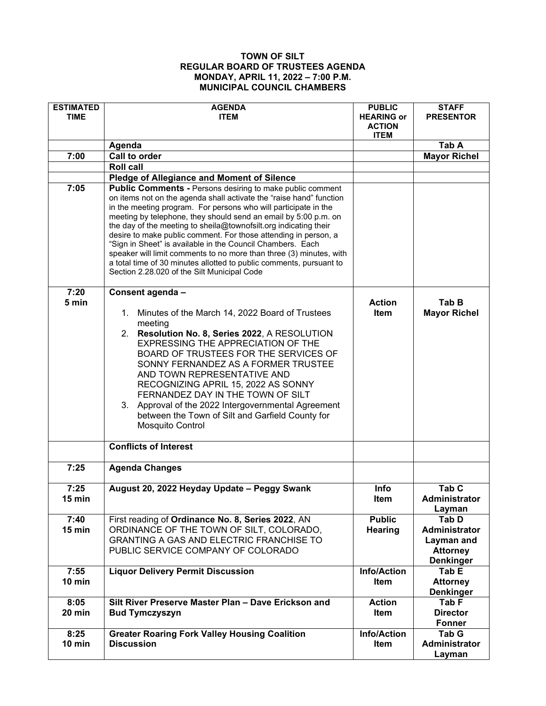## **TOWN OF SILT REGULAR BOARD OF TRUSTEES AGENDA MONDAY, APRIL 11, 2022 – 7:00 P.M. MUNICIPAL COUNCIL CHAMBERS**

| <b>ESTIMATED</b><br><b>TIME</b> | <b>AGENDA</b><br><b>ITEM</b>                                                                                                                                                                                                                                                                                                                                                                                                                                                                                                                                                                                | <b>PUBLIC</b><br><b>HEARING or</b><br><b>ACTION</b><br><b>ITEM</b> | <b>STAFF</b><br><b>PRESENTOR</b>                   |
|---------------------------------|-------------------------------------------------------------------------------------------------------------------------------------------------------------------------------------------------------------------------------------------------------------------------------------------------------------------------------------------------------------------------------------------------------------------------------------------------------------------------------------------------------------------------------------------------------------------------------------------------------------|--------------------------------------------------------------------|----------------------------------------------------|
|                                 | Agenda                                                                                                                                                                                                                                                                                                                                                                                                                                                                                                                                                                                                      |                                                                    | Tab A                                              |
| 7:00                            | Call to order                                                                                                                                                                                                                                                                                                                                                                                                                                                                                                                                                                                               |                                                                    | <b>Mayor Richel</b>                                |
|                                 | <b>Roll call</b>                                                                                                                                                                                                                                                                                                                                                                                                                                                                                                                                                                                            |                                                                    |                                                    |
|                                 | <b>Pledge of Allegiance and Moment of Silence</b>                                                                                                                                                                                                                                                                                                                                                                                                                                                                                                                                                           |                                                                    |                                                    |
| 7:05                            | <b>Public Comments - Persons desiring to make public comment</b>                                                                                                                                                                                                                                                                                                                                                                                                                                                                                                                                            |                                                                    |                                                    |
|                                 | on items not on the agenda shall activate the "raise hand" function<br>in the meeting program. For persons who will participate in the<br>meeting by telephone, they should send an email by 5:00 p.m. on<br>the day of the meeting to sheila@townofsilt.org indicating their<br>desire to make public comment. For those attending in person, a<br>"Sign in Sheet" is available in the Council Chambers. Each<br>speaker will limit comments to no more than three (3) minutes, with<br>a total time of 30 minutes allotted to public comments, pursuant to<br>Section 2.28.020 of the Silt Municipal Code |                                                                    |                                                    |
| 7:20                            | Consent agenda -                                                                                                                                                                                                                                                                                                                                                                                                                                                                                                                                                                                            |                                                                    |                                                    |
| 5 min                           | 1. Minutes of the March 14, 2022 Board of Trustees<br>meeting<br>2. Resolution No. 8, Series 2022, A RESOLUTION<br><b>EXPRESSING THE APPRECIATION OF THE</b>                                                                                                                                                                                                                                                                                                                                                                                                                                                | <b>Action</b><br><b>Item</b>                                       | Tab B<br><b>Mayor Richel</b>                       |
|                                 | BOARD OF TRUSTEES FOR THE SERVICES OF<br>SONNY FERNANDEZ AS A FORMER TRUSTEE<br>AND TOWN REPRESENTATIVE AND<br>RECOGNIZING APRIL 15, 2022 AS SONNY<br>FERNANDEZ DAY IN THE TOWN OF SILT                                                                                                                                                                                                                                                                                                                                                                                                                     |                                                                    |                                                    |
|                                 | 3. Approval of the 2022 Intergovernmental Agreement<br>between the Town of Silt and Garfield County for<br>Mosquito Control                                                                                                                                                                                                                                                                                                                                                                                                                                                                                 |                                                                    |                                                    |
|                                 | <b>Conflicts of Interest</b>                                                                                                                                                                                                                                                                                                                                                                                                                                                                                                                                                                                |                                                                    |                                                    |
| 7:25                            | <b>Agenda Changes</b>                                                                                                                                                                                                                                                                                                                                                                                                                                                                                                                                                                                       |                                                                    |                                                    |
| 7:25<br>15 min                  | August 20, 2022 Heyday Update - Peggy Swank                                                                                                                                                                                                                                                                                                                                                                                                                                                                                                                                                                 | Info<br>Item                                                       | Tab <sub>C</sub><br><b>Administrator</b><br>Layman |
| 7:40                            | First reading of Ordinance No. 8, Series 2022, AN                                                                                                                                                                                                                                                                                                                                                                                                                                                                                                                                                           | <b>Public</b>                                                      | Tab D                                              |
| 15 min                          | ORDINANCE OF THE TOWN OF SILT, COLORADO,                                                                                                                                                                                                                                                                                                                                                                                                                                                                                                                                                                    | <b>Hearing</b>                                                     | Administrator                                      |
|                                 | GRANTING A GAS AND ELECTRIC FRANCHISE TO                                                                                                                                                                                                                                                                                                                                                                                                                                                                                                                                                                    |                                                                    | Layman and                                         |
|                                 | PUBLIC SERVICE COMPANY OF COLORADO                                                                                                                                                                                                                                                                                                                                                                                                                                                                                                                                                                          |                                                                    | <b>Attorney</b>                                    |
|                                 |                                                                                                                                                                                                                                                                                                                                                                                                                                                                                                                                                                                                             |                                                                    | <b>Denkinger</b>                                   |
| 7:55                            | <b>Liquor Delivery Permit Discussion</b>                                                                                                                                                                                                                                                                                                                                                                                                                                                                                                                                                                    | <b>Info/Action</b>                                                 | Tab E                                              |
| $10$ min                        |                                                                                                                                                                                                                                                                                                                                                                                                                                                                                                                                                                                                             | Item                                                               | <b>Attorney</b>                                    |
| 8:05                            | Silt River Preserve Master Plan - Dave Erickson and                                                                                                                                                                                                                                                                                                                                                                                                                                                                                                                                                         | <b>Action</b>                                                      | <b>Denkinger</b><br>Tab F                          |
| 20 min                          | <b>Bud Tymczyszyn</b>                                                                                                                                                                                                                                                                                                                                                                                                                                                                                                                                                                                       | <b>Item</b>                                                        | <b>Director</b>                                    |
|                                 |                                                                                                                                                                                                                                                                                                                                                                                                                                                                                                                                                                                                             |                                                                    | <b>Fonner</b>                                      |
| 8:25                            | <b>Greater Roaring Fork Valley Housing Coalition</b>                                                                                                                                                                                                                                                                                                                                                                                                                                                                                                                                                        | <b>Info/Action</b>                                                 | Tab G                                              |
| $10$ min                        | <b>Discussion</b>                                                                                                                                                                                                                                                                                                                                                                                                                                                                                                                                                                                           | Item                                                               | Administrator                                      |
|                                 |                                                                                                                                                                                                                                                                                                                                                                                                                                                                                                                                                                                                             |                                                                    | Layman                                             |